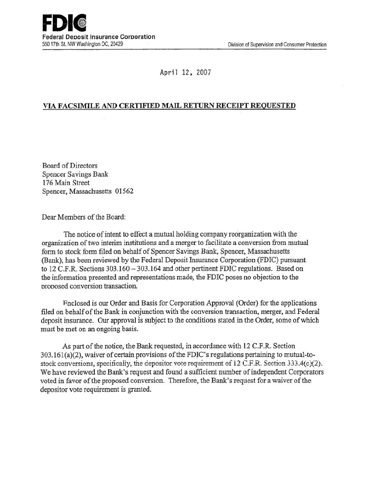April 12, 2007

## VIA FACSIMILE AND CERTIFIED MAIL RETURN RECEIPT REQUESTED

Board of Directors Spencer Savings Bank 176 Main Street Spencer, Massachusetts 01562

Dear Members of the Board:

The notice of intent to effect a mutual holding company reorganization with the organization of two interim institutions and a merger to facilitate a conversion from mutual form to stock form filed on behalf of Spencer Savings Bank, Spencer, Massachusetts (Bank), has been reviewed by the Federal Deposit Insurance Corporation (FDIC) pursuant to 12 C.F.R. Sections 303.160- 303.164 and other pertinent FDIC regulations. Based on the information presented and representations made, the FDIC poses no objection to the proposed conversion transaction.

P.nclosed is our Order and Basis for Corporation Approval (Order) for the applications filed on behalf of the Bank in conjunction with the conversion transaction, merger, and Federal deposit insurance. Our approval is subject to the conditions stated in the Order, some of which must be met on an ongoing basis.

As part of the notice, the Bank requested, in accordance with 12 C.F.R. Section  $303.161(a)(2)$ , waiver of certain provisions of the FDIC's regulations pertaining to mutual-tostock conversions, specifically, the depositor vote requirement of 12 C.F.R. Section  $333.4(c)(2)$ . We have reviewed the Bank's request and found a sufficient number of independent Corporators voted in favor of the proposed conversion. Therefore, the Bank's request for a waiver of the depositor vote requirement is granted.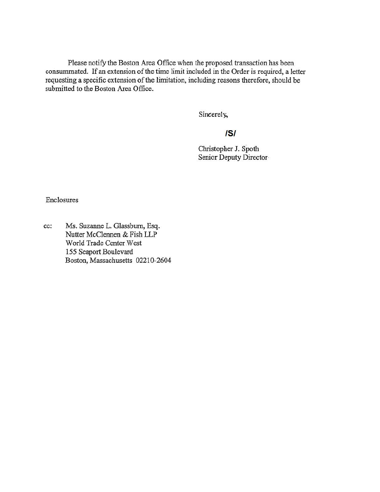Please notify the Boston Area Office when the proposed transaction has been consummated. If an extension of the time limit included in the Order is required, a letter requesting a specific extension of the limitation, including reasons therefore, should be submitted to the Boston Area Office.

Sincerely,

# IS/

Christopher J. Spoth Senior Deputy Director

Enclosures

cc: Ms. Suzanne L. Glassburn, Esq. Nutter McClennen & Fish LLP World Trade Center West 155 Seaport Boulevard Boston, Massachusetts 02210-2604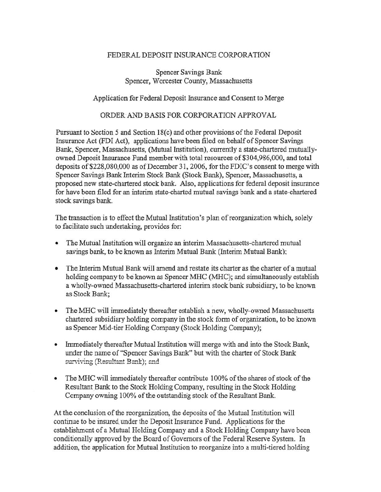### FEDERAL DEPOSIT INSURANCE CORPORATION

Spencer Savings Bank Spencer, Worcester County, Massachusetts

#### Application for Federal Deposit Insurance and Consent to Merge

#### ORDER AND BASIS FOR CORPORATION APPROVAL

Pursuant to Section 5 and Section  $18(c)$  and other provisions of the Federal Deposit Insurance Act (FDI Act), applications have been filed on behalf of Spencer Savings Bank, Spencer, Massachusetts, (Mutual Institution), currently a state-chartered mutuallyowned Deposit Insurance Fund member with total resources of \$304,986,000, and total deposits of \$228,080,000 as of December 31, 2006, for the FDIC's consent to merge with Spencer Savings Bank Interim Stock Bank (Stock Bank), Spencer, Massachusetts, a proposed new state-chartered stock bank. Also, applications for federal deposit insurance for have been filed for an interim state-charted mutual savings bank and a state-chartered stock savings bank.

The transaction is to effect the Mutual Institution's plan of reorganization which, solely to facilitate such undertaking, provides for:

- The Mutual Institution will organize an interim Massachusetts-chartered mutual savings bank, to be known as Interim Mutual Bank (Interim Mutual Bank):
- The Interim Mutual Bank will amend and restate its charter as the charter of a mutual holding company to be known as Spencer MHC (MHC); and simultaneously establish a wholly-owned Massachusetts-chartered interim stock bank subsidiary, to be known as Stock Bank;
- The MHC will immediately thereafter establish a new, wholly-owned Massachusetts chartered subsidiary holding company in the stock form of organization, to be known as Spencer Mid-tier Holding Company (Stock Holding Company);
- Immediately thereafter Mutual Institution will merge with and into the Stock Bank, under the name of "Spencer Savings Bank" but with the charter of Stock Bank surviving (Resultant Bank); and
- The MHC will immediately thereafter contribute 100% of the shares of stock of the Resultant Bank to the Stock Holding Company, resulting in the Stock Holding Company owning 100% of the outstandin'g stock of the Resultant Bank.

At the conclusion of the reorganization, the deposits of the Mutual Institution will continue to be insured under the Deposit Insurance Fund. Applications for the establishment of a Mutual Holding Company and a Stock Holding Company have been conditiomilly approved by the Board of Governors of the Federal Reserve System. In addition, the application for Mutual Institution to reorganize into a multi-tiered holding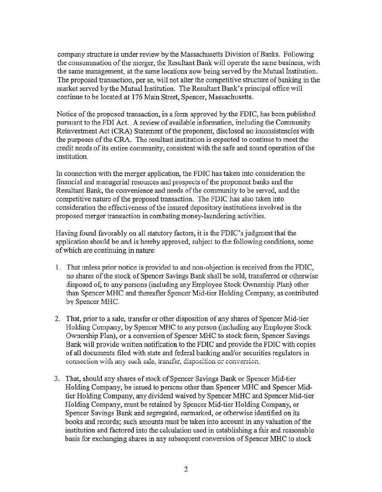company structure is under review by the Massachusetts Division of Banks. Following the consummation of the merger, the Resultant Bank will operate the same business, with the same management, at the same locations now being served by the Mutual Institution. The proposed transaction, per se, will not alter the competitive structure of banking in the market served by the Mutual Institution. The Resultant Bank's principal office will continue to be located at 176 Main Street, Spencer, Massachusetts.

Notice of the proposed transaction, in a form approved by the FDIC, has been published pursuant to the FDI Act. A review of available information, including the Community Reinvestment Act (CRA) Statement of the proponent, disclosed no inconsistencies with the purposes of the CRA. The resultant institution is expected to continue to meet the credit needs of its entire community, consistent with the safe and sound operation of the institution.

In connection with the merger application, the FDIC has taken into consideration the fmancial and managerial resources and prospects of the proponent banks and the Resultant Bank, the convenience and needs of the community to be served, and the competitive nature of the proposed transaction. The FDIC has also taken into consideration the effectiveness of the insured depository institutions involved in the proposed merger transaction in combating money-laundering activities.

Having found favorably on all statutory factors, it is the FDIC's judgment that the application should be and is hereby approved, subject to the following conditions, some of which are continuing in nature:

- 1. That unless prior notice is provided to and non-objection is received from the FDIC, no shares of the stock of Spencer Savings Bank shall be sold, transferred or otherwise disposed of, to any persons (including any Employee Stock Ownership Plan) other than Spencer MHC and thereafter Spencer Mid-tier Holding Company, as contributed by Spencer MHC.
- 2. That, prior to a sale, transfer or other disposition of any shares of Spencer Mid-tier Holding Company, by Spencer MHC to any person (including any Employee Stock Ownership Plan), or a conversion of Spencer MHC to stock form, Spencer Savings Bank will provide written notification to the FDIC and provide the FDIC with copies of all documents filed with state and federal banking and/or securities regulators in connection with any such sale, transfer, disposition or conversion.
- 3. That, should any shares of stock of Spencer Savings Bank or Spencer Mid-tier Holding Company, be issued to persons other than Spencer MHC and Spencer Midtier Holding Company, any dividend waived by Spencer MHC and Spencer Mid-tier Holding Company, must be retained by Spencer Mid-tier Holding Company, or Spencer Savings Bank and segregated, earmarked, or otherwise identified on its books and records; such amounts must be taken into account in any valuation of the institution and factored into the calculation used in establishing a fair and reasonable basis for exchanging shares in any subsequent conversion of Spencer MHC to stock